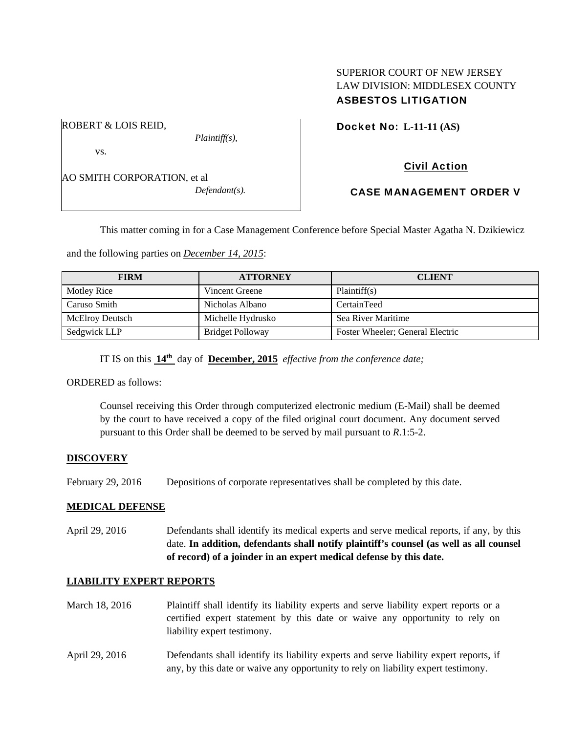# SUPERIOR COURT OF NEW JERSEY LAW DIVISION: MIDDLESEX COUNTY ASBESTOS LITIGATION

Docket No: **L-11-11 (AS)** 

vs.

ROBERT & LOIS REID,

AO SMITH CORPORATION, et al *Defendant(s).* 

*Plaintiff(s),* 

Civil Action

CASE MANAGEMENT ORDER V

This matter coming in for a Case Management Conference before Special Master Agatha N. Dzikiewicz

and the following parties on *December 14, 2015*:

| <b>FIRM</b>            | <b>ATTORNEY</b>   | <b>CLIENT</b>                    |
|------------------------|-------------------|----------------------------------|
| Motley Rice            | Vincent Greene    | Plaintiff(s)                     |
| Caruso Smith           | Nicholas Albano   | CertainTeed                      |
| <b>McElroy Deutsch</b> | Michelle Hydrusko | Sea River Maritime               |
| Sedgwick LLP           | Bridget Polloway  | Foster Wheeler; General Electric |

IT IS on this **14th** day of **December, 2015** *effective from the conference date;*

ORDERED as follows:

Counsel receiving this Order through computerized electronic medium (E-Mail) shall be deemed by the court to have received a copy of the filed original court document. Any document served pursuant to this Order shall be deemed to be served by mail pursuant to *R*.1:5-2.

## **DISCOVERY**

February 29, 2016 Depositions of corporate representatives shall be completed by this date.

## **MEDICAL DEFENSE**

April 29, 2016 Defendants shall identify its medical experts and serve medical reports, if any, by this date. **In addition, defendants shall notify plaintiff's counsel (as well as all counsel of record) of a joinder in an expert medical defense by this date.** 

#### **LIABILITY EXPERT REPORTS**

- March 18, 2016 Plaintiff shall identify its liability experts and serve liability expert reports or a certified expert statement by this date or waive any opportunity to rely on liability expert testimony.
- April 29, 2016 Defendants shall identify its liability experts and serve liability expert reports, if any, by this date or waive any opportunity to rely on liability expert testimony.